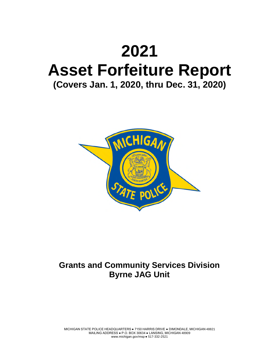# **2021 Asset Forfeiture Report (Covers Jan. 1, 2020, thru Dec. 31, 2020)**



# **Grants and Community Services Division Byrne JAG Unit**

MICHIGAN STATE POLICE HEADQUARTERS ● 7150 HARRIS DRIVE ● DIMONDALE, MICHIGAN 48821 MAILING ADDRESS ● P.O. BOX 30634 ● LANSING, MICHIGAN 48909 www.michigan.gov/msp ● 517-332-2521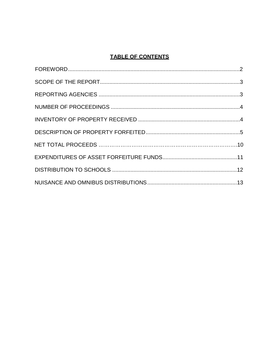## **TABLE OF CONTENTS**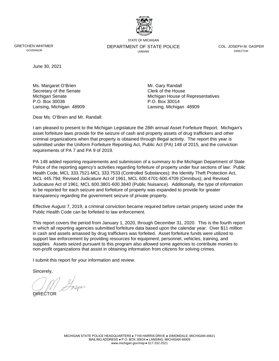

STATE OF MICHIGAN

GRETCHEN WHITMER GOVERNOR

DEPARTMENT OF STATE POLICE **LANSING** 

COL. JOSEPH M. GASPER **DIRECTOR** 

June 30, 2021

Ms. Margaret O'Brien Mr. Gary Randall Secretary of the Senate Clerk of the House P.O. Box 30036 P.O. Box 30014

Michigan Senate **Michigan House of Representatives** Michigan House of Representatives Lansing, Michigan 48909 Lansing, Michigan 48909

Dear Ms. O'Brien and Mr. Randall:

I am pleased to present to the Michigan Legislature the 28th annual Asset Forfeiture Report. Michigan's asset forfeiture laws provide for the seizure of cash and property assets of drug traffickers and other criminal organizations when that property is obtained through illegal activity. The report this year is submitted under the Uniform Forfeiture Reporting Act, Public Act (PA) 148 of 2015, and the conviction requirements of PA 7 and PA 9 of 2019.

PA 148 added reporting requirements and submission of a summary to the Michigan Department of State Police of the reporting agency's activities regarding forfeiture of property under four sections of law: Public Health Code, MCL 333.7521-MCL 333.7533 (Controlled Substances); the Identity Theft Protection Act, MCL 445.79d; Revised Judicature Act of 1961, MCL 600.4701-600.4709 (Omnibus); and Revised Judicature Act of 1961, MCL 600.3801-600.3840 (Public Nuisance). Additionally, the type of information to be reported for each seizure and forfeiture of property was expanded to provide for greater transparency regarding the government seizure of private property.

Effective August 7, 2019, a criminal conviction became required before certain property seized under the Public Health Code can be forfeited to law enforcement.

This report covers the period from January 1, 2020, through December 31, 2020. This is the fourth report in which all reporting agencies submitted forfeiture data based upon the calendar year. Over \$11 million in cash and assets amassed by drug traffickers was forfeited. Asset forfeiture funds were utilized to support law enforcement by providing resources for equipment, personnel, vehicles, training, and supplies. Assets seized pursuant to this program also allowed some agencies to contribute monies to non-profit organizations that assist in obtaining information from citizens for solving crimes.

I submit this report for your information and review.

Sincerely,

DIRECTOR

MICHIGAN STATE POLICE HEADQUARTERS ● 7150 HARRIS DRIVE ● DIMONDALE, MICHIGAN 48821 MAILING ADDRESS ● P.O. BOX 30634 ● LANSING, MICHIGAN 48909 www.michigan.gov/msp ● 517-332-2521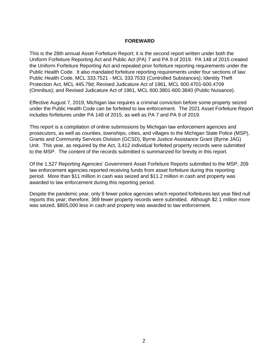#### **FOREWARD**

This is the 28th annual Asset Forfeiture Report; it is the second report written under both the Uniform Forfeiture Reporting Act and Public Act (PA) 7 and PA 9 of 2019. PA 148 of 2015 created the Uniform Forfeiture Reporting Act and repealed prior forfeiture reporting requirements under the Public Health Code. It also mandated forfeiture reporting requirements under four sections of law: Public Health Code, MCL 333.7521 - MCL 333.7533 (Controlled Substances); Identity Theft Protection Act, MCL 445.79d; Revised Judicature Act of 1961, MCL 600.4701-600.4709 (Omnibus); and Revised Judicature Act of 1961, MCL 600.3801-600.3840 (Public Nuisance).

Effective August 7, 2019, Michigan law requires a criminal conviction before some property seized under the Public Health Code can be forfeited to law enforcement. The 2021 Asset Forfeiture Report includes forfeitures under PA 148 of 2015, as well as PA 7 and PA 9 of 2019.

This report is a compilation of online submissions by Michigan law enforcement agencies and prosecutors, as well as counties, townships, cities, and villages to the Michigan State Police (MSP), Grants and Community Services Division (GCSD), Byrne Justice Assistance Grant (Byrne JAG) Unit. This year, as required by the Act, 3,412 individual forfeited property records were submitted to the MSP. The content of the records submitted is summarized for brevity in this report.

Of the 1,527 Reporting Agencies' Government Asset Forfeiture Reports submitted to the MSP, 209 law enforcement agencies reported receiving funds from asset forfeiture during this reporting period. More than \$11 million in cash was seized and \$11.2 million in cash and property was awarded to law enforcement during this reporting period.

Despite the pandemic year, only 9 fewer police agencies which reported forfeitures last year filed null reports this year; therefore, 369 fewer property records were submitted. Although \$2.1 million more was seized, \$805,000 less in cash and property was awarded to law enforcement.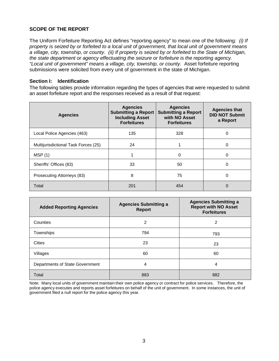#### **SCOPE OF THE REPORT**

The Uniform Forfeiture Reporting Act defines "reporting agency" to mean one of the following*: (i) If property is seized by or forfeited to a local unit of government, that local unit of government means a village, city, township, or county. (ii) If property is seized by or forfeited to the State of Michigan, the state department or agency effectuating the seizure or forfeiture is the reporting agency. "Local unit of government" means a village, city, township, or county.* Asset forfeiture reporting submissions were solicited from every unit of government in the state of Michigan.

#### **Section I: Identification**

The following tables provide information regarding the types of agencies that were requested to submit an asset forfeiture report and the responses received as a result of that request:

| <b>Agencies</b>                      | <b>Agencies</b><br><b>Submitting a Report</b><br><b>Including Asset</b><br><b>Forfeitures</b> | <b>Agencies</b><br><b>Submitting a Report</b><br>with NO Asset<br><b>Forfeitures</b> | <b>Agencies that</b><br><b>DID NOT Submit</b><br>a Report |
|--------------------------------------|-----------------------------------------------------------------------------------------------|--------------------------------------------------------------------------------------|-----------------------------------------------------------|
| Local Police Agencies (463)          | 135                                                                                           | 328                                                                                  | 0                                                         |
| Multijurisdictional Task Forces (25) | 24                                                                                            |                                                                                      | 0                                                         |
| MSP(1)                               |                                                                                               | 0                                                                                    | 0                                                         |
| Sheriffs' Offices (83)               | 33                                                                                            | 50                                                                                   | 0                                                         |
| Prosecuting Attorneys (83)           | 8                                                                                             | 75                                                                                   | 0                                                         |
| Total                                | 201                                                                                           | 454                                                                                  | 0                                                         |

| <b>Added Reporting Agencies</b> | <b>Agencies Submitting a</b><br><b>Report</b> | <b>Agencies Submitting a</b><br><b>Report with NO Asset</b><br><b>Forfeitures</b> |
|---------------------------------|-----------------------------------------------|-----------------------------------------------------------------------------------|
| Counties                        | 2                                             | 2                                                                                 |
| Townships                       | 794                                           | 793                                                                               |
| Cities                          | 23                                            | 23                                                                                |
| Villages                        | 60                                            | 60                                                                                |
| Departments of State Government | 4                                             | 4                                                                                 |
| Total                           | 883                                           | 882                                                                               |

Note: Many local units of government maintain their own police agency or contract for police services. Therefore, the police agency executes and reports asset forfeitures on behalf of the unit of government. In some instances, the unit of government filed a null report for the police agency this year.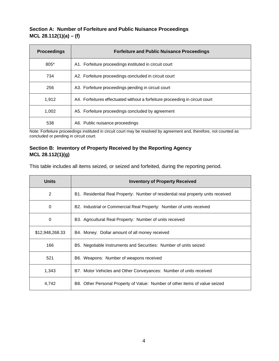#### **Section A: Number of Forfeiture and Public Nuisance Proceedings MCL 28.112(1)(a) – (f)**

| <b>Proceedings</b> | <b>Forfeiture and Public Nuisance Proceedings</b>                            |
|--------------------|------------------------------------------------------------------------------|
| 805*               | A1. Forfeiture proceedings instituted in circuit court                       |
| 734                | A2. Forfeiture proceedings concluded in circuit court                        |
| 256                | A3. Forfeiture proceedings pending in circuit court                          |
| 1.912              | A4. Forfeitures effectuated without a forfeiture proceeding in circuit court |
| 1,002              | A5. Forfeiture proceedings concluded by agreement                            |
| 538                | A6. Public nuisance proceedings                                              |

Note: Forfeiture proceedings instituted in circuit court may be resolved by agreement and, therefore, not counted as concluded or pending in circuit court.

#### **Section B: Inventory of Property Received by the Reporting Agency MCL 28.112(1)(g)**

This table includes all items seized, or seized and forfeited, during the reporting period.

| <b>Units</b>    | <b>Inventory of Property Received</b>                                             |
|-----------------|-----------------------------------------------------------------------------------|
| 2               | B1. Residential Real Property: Number of residential real property units received |
| 0               | B2. Industrial or Commercial Real Property: Number of units received              |
| 0               | B3. Agricultural Real Property: Number of units received                          |
| \$12,948,268.33 | B4. Money: Dollar amount of all money received                                    |
| 166             | B5. Negotiable Instruments and Securities: Number of units seized                 |
| 521             | B6. Weapons: Number of weapons received                                           |
| 1,343           | B7. Motor Vehicles and Other Conveyances: Number of units received                |
| 4,742           | B8. Other Personal Property of Value: Number of other items of value seized       |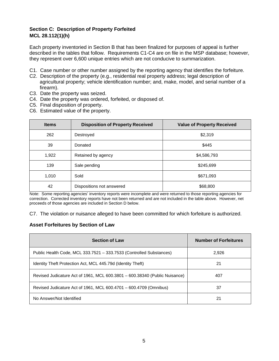#### **Section C: Description of Property Forfeited MCL 28.112(1)(h)**

Each property inventoried in Section B that has been finalized for purposes of appeal is further described in the tables that follow. Requirements C1-C4 are on file in the MSP database; however, they represent over 6,600 unique entries which are not conducive to summarization.

- C1. Case number or other number assigned by the reporting agency that identifies the forfeiture.
- C2. Description of the property (e.g., residential real property address; legal description of agricultural property; vehicle identification number; and, make, model, and serial number of a firearm).
- C3. Date the property was seized.
- C4. Date the property was ordered, forfeited, or disposed of.
- C5. Final disposition of property.
- C6. Estimated value of the property.

| <b>Items</b> | <b>Disposition of Property Received</b> | <b>Value of Property Received</b> |
|--------------|-----------------------------------------|-----------------------------------|
| 262          | Destroyed                               | \$2,319                           |
| 39           | Donated                                 | \$445                             |
| 1,922        | Retained by agency                      | \$4,586,793                       |
| 139          | Sale pending                            | \$245,699                         |
| 1,010        | Sold                                    | \$671,093                         |
| 42           | Dispositions not answered               | \$68,800                          |

Note: Some reporting agencies' inventory reports were incomplete and were returned to those reporting agencies for correction. Corrected inventory reports have not been returned and are not included in the table above. However, net proceeds of those agencies are included in Section D below.

C7. The violation or nuisance alleged to have been committed for which forfeiture is authorized.

#### **Asset Forfeitures by Section of Law**

| <b>Section of Law</b>                                                      | <b>Number of Forfeitures</b> |
|----------------------------------------------------------------------------|------------------------------|
| Public Health Code, MCL 333.7521 - 333.7533 (Controlled Substances)        | 2,926                        |
| Identity Theft Protection Act, MCL 445.79d (Identity Theft)                | 21                           |
| Revised Judicature Act of 1961, MCL 600.3801 - 600.38340 (Public Nuisance) | 407                          |
| Revised Judicature Act of 1961, MCL 600.4701 - 600.4709 (Omnibus)          | 37                           |
| No Answer/Not Identified                                                   | 21                           |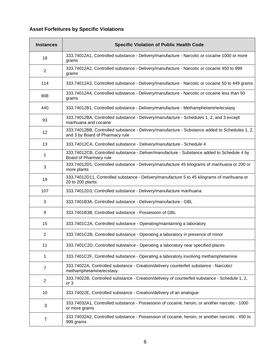## **Asset Forfeitures by Specific Violations**

| <b>Instances</b> | <b>Specific Violation of Public Health Code</b>                                                                                  |
|------------------|----------------------------------------------------------------------------------------------------------------------------------|
| 18               | 333.74012A1, Controlled substance - Delivery/manufacture - Narcotic or cocaine 1000 or more<br>grams                             |
| $\overline{2}$   | 333.74012A2, Controlled substance - Delivery/manufacture - Narcotic or cocaine 450 to 999<br>grams                               |
| 114              | 333.74012A3, Controlled substance - Delivery/manufacture - Narcotic or cocaine 50 to 449 grams                                   |
| 808              | 333.74012A4, Controlled substance - Delivery/manufacture - Narcotic or cocaine less than 50<br>grams                             |
| 440              | 333.74012B1, Controlled substance - Delivery/manufacture - Methamphetamine/ecstasy                                               |
| 93               | 333.74012BA, Controlled substance - Delivery/manufacture - Schedules 1, 2, and 3 except<br>marihuana and cocaine                 |
| 12               | 333.74012BB, Controlled substance - Delivery/manufacture - Substance added to Schedules 1, 2,<br>and 3 by Board of Pharmacy rule |
| 13               | 333.74012CA, Controlled substance - Delivery/manufacture - Schedule 4                                                            |
| $\mathbf{1}$     | 333.74012CB, Controlled substance - Deliver/manufacture - Substance added to Schedule 4 by<br>Board of Pharmacy rule             |
| 3                | 333.74012D1, Controlled substance - Delivery/manufacture 45 kilograms of marihuana or 200 or<br>more plants                      |
| 19               | 333.74012D11, Controlled substance - Delivery/manufacture 5 to 45 kilograms of marihuana or<br>20 to 200 plants                  |
| 107              | 333.74012D3, Controlled substance - Delivery/manufacture marihuana                                                               |
| 3                | 333.7401B3A, Controlled substance - Delivery/manufacture - GBL                                                                   |
| 9                | 333.7401B3B, Controlled substance - Possession of GBL                                                                            |
| 15               | 333.7401C2A, Controlled substance - Operating/maintaining a laboratory                                                           |
| $\overline{2}$   | 333.7401C2B, Controlled substance - Operating a laboratory in presence of minor                                                  |
| 11               | 333.7401C2D, Controlled substance - Operating a laboratory near specified places                                                 |
| 1                | 333.7401C2F, Controlled substance - Operating a laboratory involving methamphetamine                                             |
| 7                | 333.74022A, Controlled substance - Creation/delivery counterfeit substance - Narcotic/<br>methamphetamine/ecstasy                |
| $\overline{c}$   | 333.74022B, Controlled substance - Creation/delivery of counterfeit substance - Schedule 1, 2,<br>or <sub>3</sub>                |
| 10               | 333.74022E, Controlled substance - Creation/delivery of an analogue                                                              |
| 3                | 333.74032A1, Controlled substance - Possession of cocaine, heroin, or another narcotic - 1000<br>or more grams                   |
| 7                | 333.74032A2, Controlled substance - Possession of cocaine, heroin, or another narcotic - 450 to<br>999 grams                     |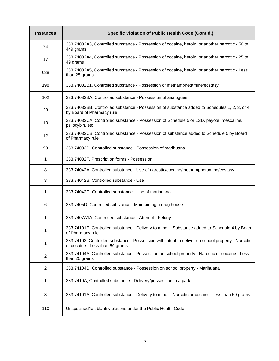| <b>Instances</b> | Specific Violation of Public Health Code (Cont'd.)                                                                                   |
|------------------|--------------------------------------------------------------------------------------------------------------------------------------|
| 24               | 333.74032A3, Controlled substance - Possession of cocaine, heroin, or another narcotic - 50 to<br>449 grams                          |
| 17               | 333.74032A4, Controlled substance - Possession of cocaine, heroin, or another narcotic - 25 to<br>49 grams                           |
| 638              | 333.74032A5, Controlled substance - Possession of cocaine, heroin, or another narcotic - Less<br>than 25 grams                       |
| 198              | 333.74032B1, Controlled substance - Possession of methamphetamine/ecstasy                                                            |
| 102              | 333.74032BA, Controlled substance - Possession of analogues                                                                          |
| 29               | 333.74032BB, Controlled substance - Possession of substance added to Schedules 1, 2, 3, or 4<br>by Board of Pharmacy rule            |
| 10               | 333.74032CA, Controlled substance - Possession of Schedule 5 or LSD, peyote, mescaline,<br>psilocybin, etc.                          |
| 12               | 333.74032CB, Controlled substance - Possession of substance added to Schedule 5 by Board<br>of Pharmacy rule                         |
| 93               | 333.74032D, Controlled substance - Possession of marihuana                                                                           |
| 1                | 333.74032F, Prescription forms - Possession                                                                                          |
| 8                | 333.74042A, Controlled substance - Use of narcotic/cocaine/methamphetamine/ecstasy                                                   |
| 3                | 333.74042B, Controlled substance - Use                                                                                               |
| 1                | 333.74042D, Controlled substance - Use of marihuana                                                                                  |
| 6                | 333.7405D, Controlled substance - Maintaining a drug house                                                                           |
| 1                | 333.7407A1A, Controlled substance - Attempt - Felony                                                                                 |
| 1                | 333.74101E, Controlled substance - Delivery to minor - Substance added to Schedule 4 by Board<br>of Pharmacy rule                    |
| 1                | 333.74103, Controlled substance - Possession with intent to deliver on school property - Narcotic<br>or cocaine - Less than 50 grams |
| $\overline{2}$   | 333.74104A, Controlled substance - Possession on school property - Narcotic or cocaine - Less<br>than 25 grams                       |
| 2                | 333.74104D, Controlled substance - Possession on school property - Marihuana                                                         |
| 1                | 333.7410A, Controlled substance - Delivery/possession in a park                                                                      |
| 3                | 333.74101A, Controlled substance - Delivery to minor - Narcotic or cocaine - less than 50 grams                                      |
| 110              | Unspecified/left blank violations under the Public Health Code                                                                       |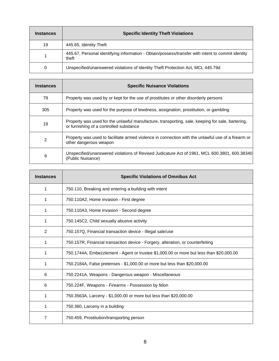| <b>Instances</b> | <b>Specific Identity Theft Violations</b>                                                                  |
|------------------|------------------------------------------------------------------------------------------------------------|
| 19               | 445.65, Identity Theft                                                                                     |
|                  | 445.67, Personal identifying information - Obtain/possess/transfer with intent to commit identity<br>theft |
| 0                | Unspecified/unanswered violations of Identity Theft Protection Act, MCL 445.79d                            |

| <b>Instances</b> | <b>Specific Nuisance Violations</b>                                                                                                         |
|------------------|---------------------------------------------------------------------------------------------------------------------------------------------|
| 79               | Property was used by or kept for the use of prostitutes or other disorderly persons                                                         |
| 305              | Property was used for the purpose of lewdness, assignation, prostitution, or gambling                                                       |
| 19               | Property was used for the unlawful manufacture, transporting, sale, keeping for sale, bartering,<br>or furnishing of a controlled substance |
| 2                | Property was used to facilitate armed violence in connection with the unlawful use of a firearm or<br>other dangerous weapon                |
| 9                | Unspecified/unanswered violations of Revised Judicature Act of 1961, MCL 600.3801, 600.38340<br>(Public Nuisance)                           |

| <b>Instances</b> | <b>Specific Violations of Omnibus Act</b>                                               |
|------------------|-----------------------------------------------------------------------------------------|
| 1                | 750.110, Breaking and entering a building with intent                                   |
| 1                | 750.110A2, Home invasion - First degree                                                 |
|                  | 750.110A3, Home invasion - Second degree                                                |
| 1                | 750.145C2, Child sexually abusive activity                                              |
| 2                | 750.157Q, Financial transaction device - Illegal sale/use                               |
| 1                | 750.157R, Financial transaction device - Forgery, alteration, or counterfeiting         |
| 1                | 750.1744A, Embezzlement - Agent or trustee \$1,000.00 or more but less than \$20,000.00 |
| 1                | 750.2184A, False pretenses - \$1,000.00 or more but less than \$20,000.00               |
| 6                | 750.2241A, Weapons - Dangerous weapon - Miscellaneous                                   |
| 6                | 750.224F, Weapons - Firearms - Possession by felon                                      |
| 1                | 750.3563A, Larceny - \$1,000.00 or more but less than \$20,000.00                       |
| 1                | 750.360, Larceny in a building                                                          |
| 7                | 750.459, Prostitution/transporting person                                               |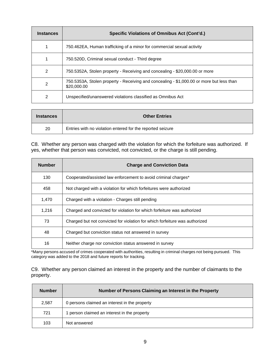| <b>Instances</b> | Specific Violations of Omnibus Act (Cont'd.)                                                            |
|------------------|---------------------------------------------------------------------------------------------------------|
|                  | 750.462EA, Human trafficking of a minor for commercial sexual activity                                  |
|                  | 750.520D, Criminal sexual conduct - Third degree                                                        |
| 2                | 750.5352A, Stolen property - Receiving and concealing - \$20,000.00 or more                             |
| 2                | 750.5353A, Stolen property - Receiving and concealing - \$1,000.00 or more but less than<br>\$20,000.00 |
| $\mathcal{P}$    | Unspecified/unanswered violations classified as Omnibus Act                                             |

| <b>Instances</b> | <b>Other Entries</b>                                       |
|------------------|------------------------------------------------------------|
| 20               | Entries with no violation entered for the reported seizure |

C8. Whether any person was charged with the violation for which the forfeiture was authorized. If yes, whether that person was convicted, not convicted, or the charge is still pending.

| <b>Number</b> | <b>Charge and Conviction Data</b>                                           |
|---------------|-----------------------------------------------------------------------------|
| 130           | Cooperated/assisted law enforcement to avoid criminal charges*              |
| 458           | Not charged with a violation for which forfeitures were authorized          |
| 1,470         | Charged with a violation - Charges still pending                            |
| 1,216         | Charged and convicted for violation for which forfeiture was authorized     |
| 73            | Charged but not convicted for violation for which forfeiture was authorized |
| 48            | Charged but conviction status not answered in survey                        |
| 16            | Neither charge nor conviction status answered in survey                     |

\*Many persons accused of crimes cooperated with authorities, resulting in criminal charges not being pursued. This category was added to the 2018 and future reports for tracking.

C9. Whether any person claimed an interest in the property and the number of claimants to the property.

| <b>Number</b> | Number of Persons Claiming an Interest in the Property |
|---------------|--------------------------------------------------------|
| 2,587         | 0 persons claimed an interest in the property          |
| 721           | person claimed an interest in the property             |
| 103           | Not answered                                           |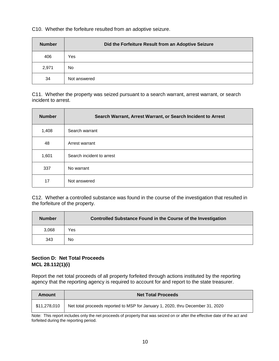C10. Whether the forfeiture resulted from an adoptive seizure.

| <b>Number</b> | Did the Forfeiture Result from an Adoptive Seizure |
|---------------|----------------------------------------------------|
| 406           | Yes                                                |
| 2,971         | No                                                 |
| 34            | Not answered                                       |

C11. Whether the property was seized pursuant to a search warrant, arrest warrant, or search incident to arrest.

| <b>Number</b> | Search Warrant, Arrest Warrant, or Search Incident to Arrest |
|---------------|--------------------------------------------------------------|
| 1,408         | Search warrant                                               |
| 48            | Arrest warrant                                               |
| 1,601         | Search incident to arrest                                    |
| 337           | No warrant                                                   |
| 17            | Not answered                                                 |

C12. Whether a controlled substance was found in the course of the investigation that resulted in the forfeiture of the property.

| <b>Number</b> | <b>Controlled Substance Found in the Course of the Investigation</b> |
|---------------|----------------------------------------------------------------------|
| 3,068         | Yes                                                                  |
| 343           | No                                                                   |

#### **Section D: Net Total Proceeds MCL 28.112(1)(i)**

Report the net total proceeds of all property forfeited through actions instituted by the reporting agency that the reporting agency is required to account for and report to the state treasurer.

| Amount       | <b>Net Total Proceeds</b>                                                      |
|--------------|--------------------------------------------------------------------------------|
| \$11.278.010 | Net total proceeds reported to MSP for January 1, 2020, thru December 31, 2020 |

Note: This report includes only the net proceeds of property that was seized on or after the effective date of the act and forfeited during the reporting period.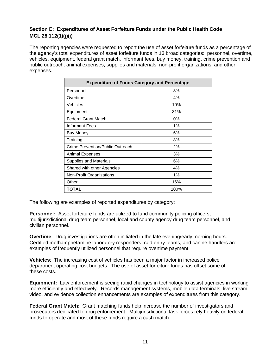#### **Section E: Expenditures of Asset Forfeiture Funds under the Public Health Code MCL 28.112(1)(j)(i)**

The reporting agencies were requested to report the use of asset forfeiture funds as a percentage of the agency's total expenditures of asset forfeiture funds in 13 broad categories: personnel, overtime, vehicles, equipment, federal grant match, informant fees, buy money, training, crime prevention and public outreach, animal expenses, supplies and materials, non-profit organizations, and other expenses.

| <b>Expenditure of Funds Category and Percentage</b> |       |  |
|-----------------------------------------------------|-------|--|
| Personnel                                           | 8%    |  |
| Overtime                                            | 4%    |  |
| Vehicles                                            | 10%   |  |
| Equipment                                           | 31%   |  |
| <b>Federal Grant Match</b>                          | $0\%$ |  |
| Informant Fees                                      | $1\%$ |  |
| Buy Money                                           | 6%    |  |
| Training                                            | 8%    |  |
| Crime Prevention/Public Outreach                    | 2%    |  |
| Animal Expenses                                     | 3%    |  |
| Supplies and Materials                              | 6%    |  |
| Shared with other Agencies                          | 4%    |  |
| Non-Profit Organizations                            | 1%    |  |
| Other                                               | 16%   |  |
| TOTAL                                               | 100%  |  |

The following are examples of reported expenditures by category:

**Personnel:** Asset forfeiture funds are utilized to fund community policing officers, multijurisdictional drug team personnel, local and county agency drug team personnel, and civilian personnel.

**Overtime**: Drug investigations are often initiated in the late evening/early morning hours. Certified methamphetamine laboratory responders, raid entry teams, and canine handlers are examples of frequently utilized personnel that require overtime payment.

**Vehicles**: The increasing cost of vehicles has been a major factor in increased police department operating cost budgets. The use of asset forfeiture funds has offset some of these costs.

**Equipment:** Law enforcement is seeing rapid changes in technology to assist agencies in working more efficiently and effectively. Records management systems, mobile data terminals, live stream video, and evidence collection enhancements are examples of expenditures from this category.

**Federal Grant Match:** Grant matching funds help increase the number of investigators and prosecutors dedicated to drug enforcement. Multijurisdictional task forces rely heavily on federal funds to operate and most of these funds require a cash match.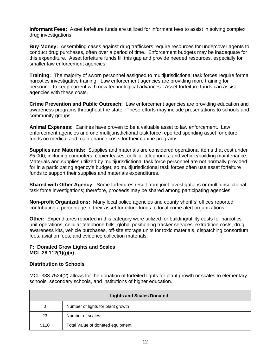**Informant Fees:** Asset forfeiture funds are utilized for informant fees to assist in solving complex drug investigations.

**Buy Money:** Assembling cases against drug traffickers require resources for undercover agents to conduct drug purchases, often over a period of time. Enforcement budgets may be inadequate for this expenditure. Asset forfeiture funds fill this gap and provide needed resources, especially for smaller law enforcement agencies.

**Training:** The majority of sworn personnel assigned to multijurisdictional task forces require formal narcotics investigative training. Law enforcement agencies are providing more training for personnel to keep current with new technological advances. Asset forfeiture funds can assist agencies with these costs.

**Crime Prevention and Public Outreach:** Law enforcement agencies are providing education and awareness programs throughout the state. These efforts may include presentations to schools and community groups.

**Animal Expenses:** Canines have proven to be a valuable asset to law enforcement. Law enforcement agencies and one multijurisdictional task force reported spending asset forfeiture funds on medical and maintenance costs for their canine programs.

**Supplies and Materials:** Supplies and materials are considered operational items that cost under \$5,000, including computers, copier leases, cellular telephones, and vehicle/building maintenance. Materials and supplies utilized by multijurisdictional task force personnel are not normally provided for in a participating agency's budget, so multijurisdictional task forces often use asset forfeiture funds to support their supplies and materials expenditures.

**Shared with Other Agency:** Some forfeitures result from joint investigations or multijurisdictional task force investigations; therefore, proceeds may be shared among participating agencies.

**Non-profit Organizations:** Many local police agencies and county sheriffs' offices reported contributing a percentage of their asset forfeiture funds to local crime alert organizations.

**Other:** Expenditures reported in this category were utilized for building/utility costs for narcotics unit operations, cellular telephone bills, global positioning tracker services, extradition costs, drug awareness kits, vehicle purchases, off-site storage units for toxic materials, dispatching consortium fees, aviation fees, and evidence collection materials.

#### **F: Donated Grow Lights and Scales MCL 28.112(1)(j)(ii)**

#### **Distribution to Schools**

MCL 333.7524(2) allows for the donation of forfeited lights for plant growth or scales to elementary schools, secondary schools, and institutions of higher education.

| <b>Lights and Scales Donated</b> |                                   |
|----------------------------------|-----------------------------------|
| 0                                | Number of lights for plant growth |
| 23                               | Number of scales                  |
| \$110                            | Total Value of donated equipment  |